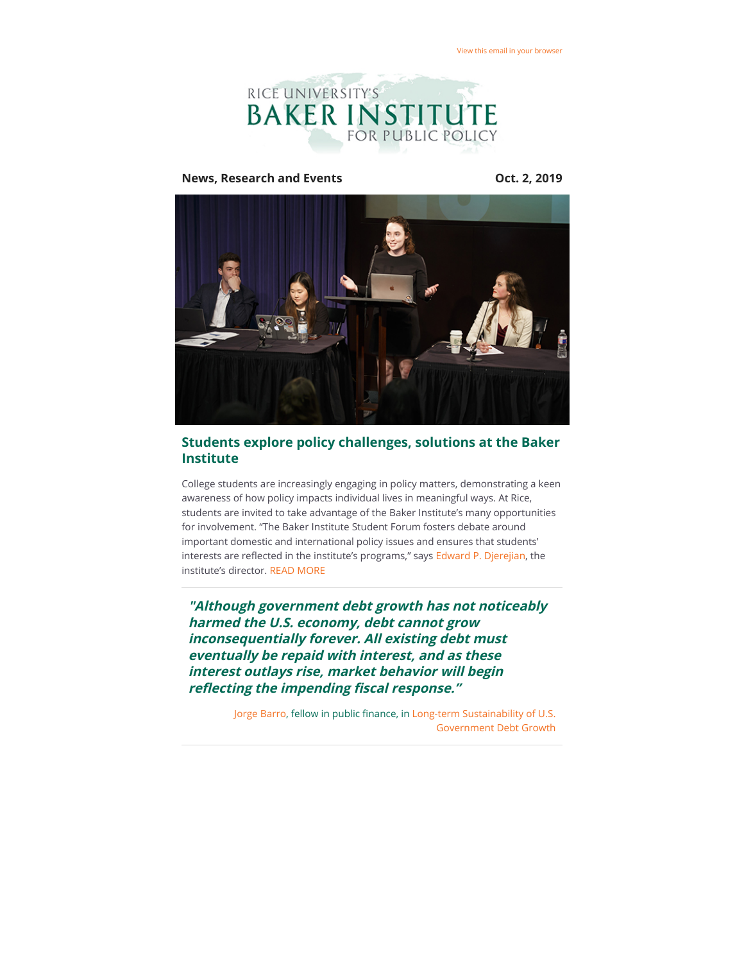

**News, Research and Events COMEX 10 2019** 



## **Students explore policy challenges, solutions at the Baker Institute**

College students are increasingly engaging in policy matters, demonstrating a keen awareness of how policy impacts individual lives in meaningful ways. At Rice, students are invited to take advantage of the Baker Institute's many opportunities for involvement. "The Baker Institute Student Forum fosters debate around important domestic and international policy issues and ensures that students' interests are reflected in the institute's programs," says [Edward P. Djerejian,](https://riceconnect.rice.edu/page.redir?target=https%3a%2f%2fwww.bakerinstitute.org%2fexperts%2fedward-p-djerejian%2f&srcid=83119&srctid=1&erid=de7140d8-f2c0-40ef-94fb-33b2ac70005c&trid=de7140d8-f2c0-40ef-94fb-33b2ac70005c) the institute's director. [READ MORE](https://riceconnect.rice.edu/page.redir?target=http%3a%2f%2fbakerinstituteblog.blogs.rice.edu%2f2019%2f09%2f24%2fstudents-explore-policy-challenges-solutions-at-the-baker-institute%2f&srcid=83119&srctid=1&erid=de7140d8-f2c0-40ef-94fb-33b2ac70005c&trid=de7140d8-f2c0-40ef-94fb-33b2ac70005c)

**"Although government debt growth has not noticeably harmed the U.S. economy, debt cannot grow inconsequentially forever. All existing debt must eventually be repaid with interest, and as these interest outlays rise, market behavior will begin reflecting the impending fiscal response."** 

> [Jorge Barro](https://riceconnect.rice.edu/page.redir?target=https%3a%2f%2fwww.bakerinstitute.org%2fexperts%2fjorge-barro%2f&srcid=83119&srctid=1&erid=de7140d8-f2c0-40ef-94fb-33b2ac70005c&trid=de7140d8-f2c0-40ef-94fb-33b2ac70005c), fellow in public finance, in [Long-term Sustainability of U.S.](https://riceconnect.rice.edu/page.redir?target=https%3a%2f%2fwww.bakerinstitute.org%2fmedia%2ffiles%2ffiles%2fefc1017a%2fbi-brief-082019-cpf-governmentdebt.pdf&srcid=83119&srctid=1&erid=de7140d8-f2c0-40ef-94fb-33b2ac70005c&trid=de7140d8-f2c0-40ef-94fb-33b2ac70005c) Government Debt Growth